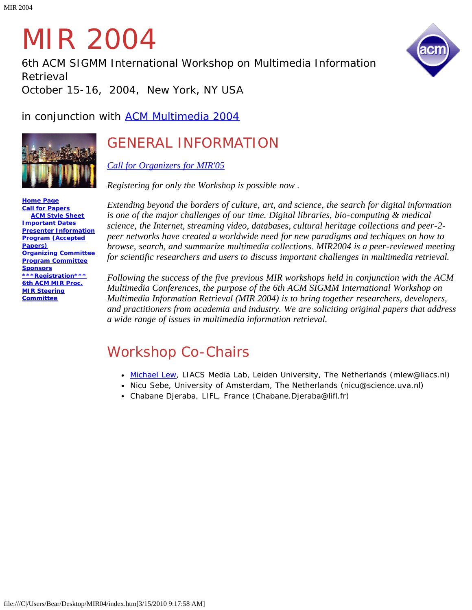# MIR 2004

*6th ACM SIGMM International Workshop on Multimedia Information Retrieval*

*October 15-16, 2004, New York, NY USA*

in conjunction with **ACM Multimedia 2004** 



# GENERAL INFORMATION

*[Call for Organizers for MIR'05](#page-13-0)*

*Registering for only the Workshop is possible now .*

**[Home Page](#page-1-0) [Call for Papers](#page-2-0) [ACM Style Sheet](javascript:if(confirm() [Important Dates](#page-4-0) [Presenter Information](#page-5-0) [Program \(Accepted](#page-6-0) [Papers\)](#page-6-0) [Organizing Committee](#page-9-0) [Program Committee](#page-10-0) [Sponsors](#page-11-0) [\\*\\*\\*Registration\\*\\*\\*](javascript:if(confirm() [6th ACM MIR Proc.](javascript:if(confirm() [MIR Steering](#page-12-0) [Committee](#page-12-0)**

*Extending beyond the borders of culture, art, and science, the search for digital information is one of the major challenges of our time. Digital libraries, bio-computing & medical science, the Internet, streaming video, databases, cultural heritage collections and peer-2 peer networks have created a worldwide need for new paradigms and techiques on how to browse, search, and summarize multimedia collections. MIR2004 is a peer-reviewed meeting for scientific researchers and users to discuss important challenges in multimedia retrieval.* 

*Following the success of the five previous MIR workshops held in conjunction with the ACM Multimedia Conferences, the purpose of the 6th ACM SIGMM International Workshop on Multimedia Information Retrieval (MIR 2004) is to bring together researchers, developers, and practitioners from academia and industry. We are soliciting original papers that address a wide range of issues in multimedia information retrieval.* 

# *Workshop Co-Chairs*

- *[Michael Lew](javascript:if(confirm(), LIACS Media Lab, Leiden University, The Netherlands (mlew@liacs.nl)*
- *Nicu Sebe, University of Amsterdam, The Netherlands (nicu@science.uva.nl)*
- *Chabane Djeraba, LIFL, France (Chabane.Djeraba@lifl.fr)*

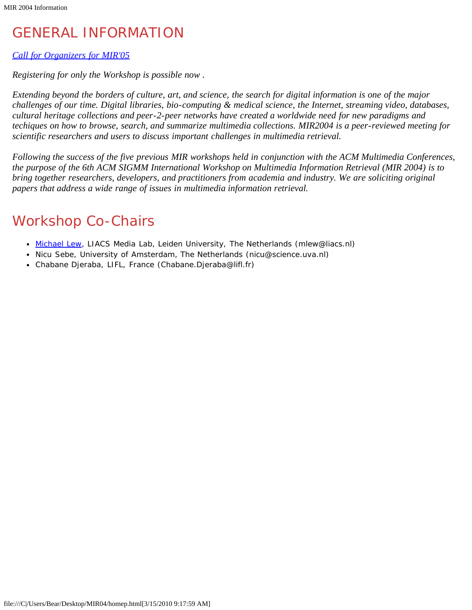# <span id="page-1-0"></span>GENERAL INFORMATION

## *[Call for Organizers for MIR'05](#page-13-0)*

*Registering for only the Workshop is possible now .*

*Extending beyond the borders of culture, art, and science, the search for digital information is one of the major challenges of our time. Digital libraries, bio-computing & medical science, the Internet, streaming video, databases, cultural heritage collections and peer-2-peer networks have created a worldwide need for new paradigms and techiques on how to browse, search, and summarize multimedia collections. MIR2004 is a peer-reviewed meeting for scientific researchers and users to discuss important challenges in multimedia retrieval.* 

*Following the success of the five previous MIR workshops held in conjunction with the ACM Multimedia Conferences, the purpose of the 6th ACM SIGMM International Workshop on Multimedia Information Retrieval (MIR 2004) is to bring together researchers, developers, and practitioners from academia and industry. We are soliciting original papers that address a wide range of issues in multimedia information retrieval.* 

# *Workshop Co-Chairs*

- *[Michael Lew](javascript:if(confirm(), LIACS Media Lab, Leiden University, The Netherlands (mlew@liacs.nl)*
- *Nicu Sebe, University of Amsterdam, The Netherlands (nicu@science.uva.nl)*
- *Chabane Djeraba, LIFL, France (Chabane.Djeraba@lifl.fr)*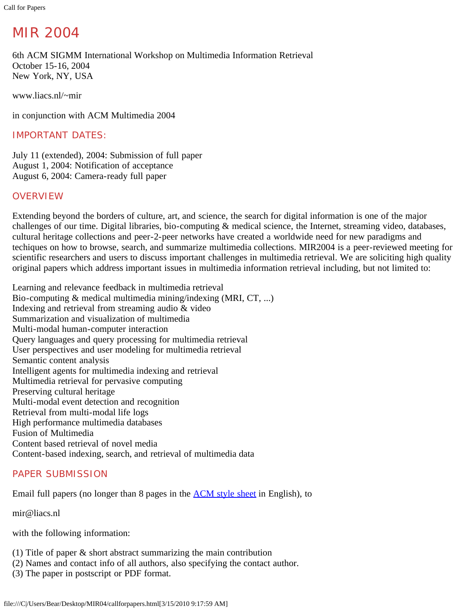<span id="page-2-0"></span>Call for Papers

# MIR 2004

6th ACM SIGMM International Workshop on Multimedia Information Retrieval October 15-16, 2004 New York, NY, USA

www.liacs.nl/~mir

in conjunction with ACM Multimedia 2004

# IMPORTANT DATES:

July 11 (extended), 2004: Submission of full paper August 1, 2004: Notification of acceptance August 6, 2004: Camera-ready full paper

# **OVERVIEW**

Extending beyond the borders of culture, art, and science, the search for digital information is one of the major challenges of our time. Digital libraries, bio-computing & medical science, the Internet, streaming video, databases, cultural heritage collections and peer-2-peer networks have created a worldwide need for new paradigms and techiques on how to browse, search, and summarize multimedia collections. MIR2004 is a peer-reviewed meeting for scientific researchers and users to discuss important challenges in multimedia retrieval. We are soliciting high quality original papers which address important issues in multimedia information retrieval including, but not limited to:

Learning and relevance feedback in multimedia retrieval Bio-computing & medical multimedia mining/indexing (MRI, CT, ...) Indexing and retrieval from streaming audio & video Summarization and visualization of multimedia Multi-modal human-computer interaction Query languages and query processing for multimedia retrieval User perspectives and user modeling for multimedia retrieval Semantic content analysis Intelligent agents for multimedia indexing and retrieval Multimedia retrieval for pervasive computing Preserving cultural heritage Multi-modal event detection and recognition Retrieval from multi-modal life logs High performance multimedia databases Fusion of Multimedia Content based retrieval of novel media Content-based indexing, search, and retrieval of multimedia data

# PAPER SUBMISSION

Email full papers (no longer than 8 pages in the **ACM** style sheet in English), to

mir@liacs.nl

with the following information:

- (1) Title of paper & short abstract summarizing the main contribution
- (2) Names and contact info of all authors, also specifying the contact author.
- (3) The paper in postscript or PDF format.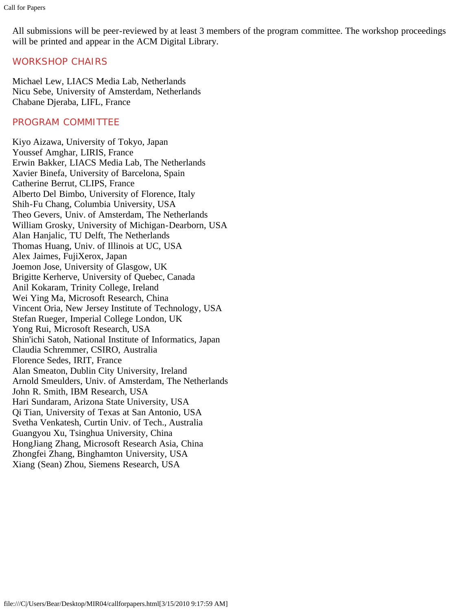All submissions will be peer-reviewed by at least 3 members of the program committee. The workshop proceedings will be printed and appear in the ACM Digital Library.

# WORKSHOP CHAIRS

Michael Lew, LIACS Media Lab, Netherlands Nicu Sebe, University of Amsterdam, Netherlands Chabane Djeraba, LIFL, France

# PROGRAM COMMITTEE

Kiyo Aizawa, University of Tokyo, Japan Youssef Amghar, LIRIS, France Erwin Bakker, LIACS Media Lab, The Netherlands Xavier Binefa, University of Barcelona, Spain Catherine Berrut, CLIPS, France Alberto Del Bimbo, University of Florence, Italy Shih-Fu Chang, Columbia University, USA Theo Gevers, Univ. of Amsterdam, The Netherlands William Grosky, University of Michigan-Dearborn, USA Alan Hanjalic, TU Delft, The Netherlands Thomas Huang, Univ. of Illinois at UC, USA Alex Jaimes, FujiXerox, Japan Joemon Jose, University of Glasgow, UK Brigitte Kerherve, University of Quebec, Canada Anil Kokaram, Trinity College, Ireland Wei Ying Ma, Microsoft Research, China Vincent Oria, New Jersey Institute of Technology, USA Stefan Rueger, Imperial College London, UK Yong Rui, Microsoft Research, USA Shin'ichi Satoh, National Institute of Informatics, Japan Claudia Schremmer, CSIRO, Australia Florence Sedes, IRIT, France Alan Smeaton, Dublin City University, Ireland Arnold Smeulders, Univ. of Amsterdam, The Netherlands John R. Smith, IBM Research, USA Hari Sundaram, Arizona State University, USA Qi Tian, University of Texas at San Antonio, USA Svetha Venkatesh, Curtin Univ. of Tech., Australia Guangyou Xu, Tsinghua University, China HongJiang Zhang, Microsoft Research Asia, China Zhongfei Zhang, Binghamton University, USA Xiang (Sean) Zhou, Siemens Research, USA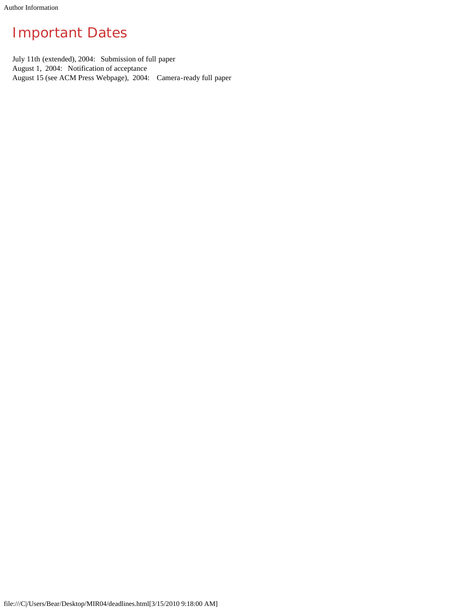# <span id="page-4-0"></span>Important Dates

July 11th (extended), 2004: Submission of full paper August 1, 2004: Notification of acceptance August 15 (see ACM Press Webpage), 2004: Camera-ready full paper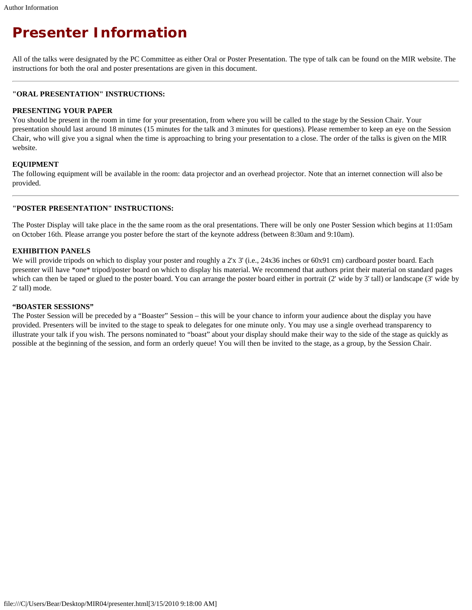# <span id="page-5-0"></span>*Presenter Information*

All of the talks were designated by the PC Committee as either Oral or Poster Presentation. The type of talk can be found on the MIR website. The instructions for both the oral and poster presentations are given in this document.

#### **"ORAL PRESENTATION" INSTRUCTIONS:**

#### **PRESENTING YOUR PAPER**

You should be present in the room in time for your presentation, from where you will be called to the stage by the Session Chair. Your presentation should last around 18 minutes (15 minutes for the talk and 3 minutes for questions). Please remember to keep an eye on the Session Chair, who will give you a signal when the time is approaching to bring your presentation to a close. The order of the talks is given on the MIR website.

#### **EQUIPMENT**

The following equipment will be available in the room: data projector and an overhead projector. Note that an internet connection will also be provided.

#### **"POSTER PRESENTATION" INSTRUCTIONS:**

The Poster Display will take place in the the same room as the oral presentations. There will be only one Poster Session which begins at 11:05am on October 16th. Please arrange you poster before the start of the keynote address (between 8:30am and 9:10am).

#### **EXHIBITION PANELS**

We will provide tripods on which to display your poster and roughly a 2'x 3' (i.e., 24x36 inches or 60x91 cm) cardboard poster board. Each presenter will have \*one\* tripod/poster board on which to display his material. We recommend that authors print their material on standard pages which can then be taped or glued to the poster board. You can arrange the poster board either in portrait (2' wide by 3' tall) or landscape (3' wide by 2' tall) mode.

#### **"BOASTER SESSIONS"**

The Poster Session will be preceded by a "Boaster" Session – this will be your chance to inform your audience about the display you have provided. Presenters will be invited to the stage to speak to delegates for one minute only. You may use a single overhead transparency to illustrate your talk if you wish. The persons nominated to "boast" about your display should make their way to the side of the stage as quickly as possible at the beginning of the session, and form an orderly queue! You will then be invited to the stage, as a group, by the Session Chair.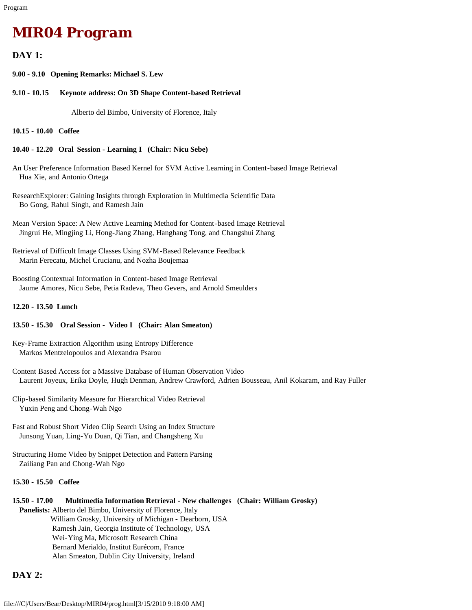# <span id="page-6-0"></span>*MIR04 Program*

### **DAY 1:**

**9.00 - 9.10 Opening Remarks: Michael S. Lew**

**9.10 - 10.15 Keynote address: On 3D Shape Content-based Retrieval**

Alberto del Bimbo, University of Florence, Italy

**10.15 - 10.40 Coffee**

#### **10.40 - 12.20 Oral Session - Learning I (Chair: Nicu Sebe)**

- An User Preference Information Based Kernel for SVM Active Learning in Content-based Image Retrieval Hua Xie, and Antonio Ortega
- ResearchExplorer: Gaining Insights through Exploration in Multimedia Scientific Data Bo Gong, Rahul Singh, and Ramesh Jain
- Mean Version Space: A New Active Learning Method for Content-based Image Retrieval Jingrui He, Mingjing Li, Hong-Jiang Zhang, Hanghang Tong, and Changshui Zhang
- Retrieval of Difficult Image Classes Using SVM-Based Relevance Feedback Marin Ferecatu, Michel Crucianu, and Nozha Boujemaa
- Boosting Contextual Information in Content-based Image Retrieval Jaume Amores, Nicu Sebe, Petia Radeva, Theo Gevers, and Arnold Smeulders

#### **12.20 - 13.50 Lunch**

#### **13.50 - 15.30 Oral Session - Video I (Chair: Alan Smeaton)**

Key-Frame Extraction Algorithm using Entropy Difference Markos Mentzelopoulos and Alexandra Psarou

- Content Based Access for a Massive Database of Human Observation Video Laurent Joyeux, Erika Doyle, Hugh Denman, Andrew Crawford, Adrien Bousseau, Anil Kokaram, and Ray Fuller
- Clip-based Similarity Measure for Hierarchical Video Retrieval Yuxin Peng and Chong-Wah Ngo
- Fast and Robust Short Video Clip Search Using an Index Structure Junsong Yuan, Ling-Yu Duan, Qi Tian, and Changsheng Xu
- Structuring Home Video by Snippet Detection and Pattern Parsing Zailiang Pan and Chong-Wah Ngo

#### **15.30 - 15.50 Coffee**

### **15.50 - 17.00 Multimedia Information Retrieval - New challenges (Chair: William Grosky)**

 **Panelists:** Alberto del Bimbo, University of Florence, Italy William Grosky, University of Michigan - Dearborn, USA Ramesh Jain, Georgia Institute of Technology, USA Wei-Ying Ma, Microsoft Research China Bernard Merialdo, Institut Eurécom, France Alan Smeaton, Dublin City University, Ireland

### **DAY 2:**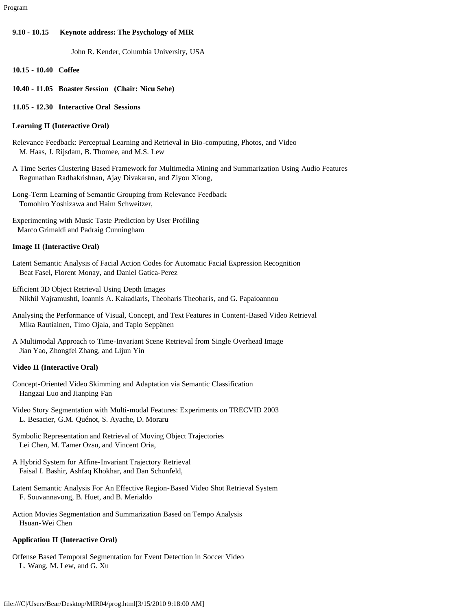#### **9.10 - 10.15 Keynote address: The Psychology of MIR**

John R. Kender, Columbia University, USA

- **10.15 10.40 Coffee**
- **10.40 11.05 Boaster Session (Chair: Nicu Sebe)**
- **11.05 12.30 Interactive Oral Sessions**

#### **Learning II (Interactive Oral)**

- Relevance Feedback: Perceptual Learning and Retrieval in Bio-computing, Photos, and Video M. Haas, J. Rijsdam, B. Thomee, and M.S. Lew
- A Time Series Clustering Based Framework for Multimedia Mining and Summarization Using Audio Features Regunathan Radhakrishnan, Ajay Divakaran, and Ziyou Xiong,
- Long-Term Learning of Semantic Grouping from Relevance Feedback Tomohiro Yoshizawa and Haim Schweitzer,

Experimenting with Music Taste Prediction by User Profiling Marco Grimaldi and Padraig Cunningham

#### **Image II (Interactive Oral)**

- Latent Semantic Analysis of Facial Action Codes for Automatic Facial Expression Recognition Beat Fasel, Florent Monay, and Daniel Gatica-Perez
- Efficient 3D Object Retrieval Using Depth Images Nikhil Vajramushti, Ioannis A. Kakadiaris, Theoharis Theoharis, and G. Papaioannou
- Analysing the Performance of Visual, Concept, and Text Features in Content-Based Video Retrieval Mika Rautiainen, Timo Ojala, and Tapio Seppänen
- A Multimodal Approach to Time-Invariant Scene Retrieval from Single Overhead Image Jian Yao, Zhongfei Zhang, and Lijun Yin

#### **Video II (Interactive Oral)**

- Concept-Oriented Video Skimming and Adaptation via Semantic Classification Hangzai Luo and Jianping Fan
- Video Story Segmentation with Multi-modal Features: Experiments on TRECVID 2003 L. Besacier, G.M. Quénot, S. Ayache, D. Moraru
- Symbolic Representation and Retrieval of Moving Object Trajectories Lei Chen, M. Tamer Ozsu, and Vincent Oria,
- A Hybrid System for Affine-Invariant Trajectory Retrieval Faisal I. Bashir, Ashfaq Khokhar, and Dan Schonfeld,
- Latent Semantic Analysis For An Effective Region-Based Video Shot Retrieval System F. Souvannavong, B. Huet, and B. Merialdo
- Action Movies Segmentation and Summarization Based on Tempo Analysis Hsuan-Wei Chen

#### **Application II (Interactive Oral)**

Offense Based Temporal Segmentation for Event Detection in Soccer Video L. Wang, M. Lew, and G. Xu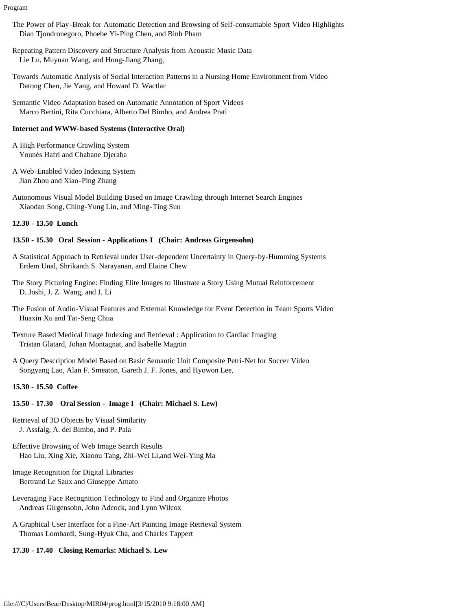Program

- The Power of Play-Break for Automatic Detection and Browsing of Self-consumable Sport Video Highlights Dian Tjondronegoro, Phoebe Yi-Ping Chen, and Binh Pham
- Repeating Pattern Discovery and Structure Analysis from Acoustic Music Data Lie Lu, Muyuan Wang, and Hong-Jiang Zhang,
- Towards Automatic Analysis of Social Interaction Patterns in a Nursing Home Environment from Video Datong Chen, Jie Yang, and Howard D. Wactlar
- Semantic Video Adaptation based on Automatic Annotation of Sport Videos Marco Bertini, Rita Cucchiara, Alberto Del Bimbo, and Andrea Prati

#### **Internet and WWW-based Systems (Interactive Oral)**

- A High Performance Crawling System Younès Hafri and Chabane Djeraba
- A Web-Enabled Video Indexing System Jian Zhou and Xiao-Ping Zhang
- Autonomous Visual Model Building Based on Image Crawling through Internet Search Engines Xiaodan Song, Ching-Yung Lin, and Ming-Ting Sun

### **12.30 - 13.50 Lunch**

### **13.50 - 15.30 Oral Session - Applications I (Chair: Andreas Girgensohn)**

- A Statistical Approach to Retrieval under User-dependent Uncertainty in Query-by-Humming Systems Erdem Unal, Shrikanth S. Narayanan, and Elaine Chew
- The Story Picturing Engine: Finding Elite Images to Illustrate a Story Using Mutual Reinforcement D. Joshi, J. Z. Wang, and J. Li
- The Fusion of Audio-Visual Features and External Knowledge for Event Detection in Team Sports Video Huaxin Xu and Tat-Seng Chua
- Texture Based Medical Image Indexing and Retrieval : Application to Cardiac Imaging Tristan Glatard, Johan Montagnat, and Isabelle Magnin
- A Query Description Model Based on Basic Semantic Unit Composite Petri-Net for Soccer Video Songyang Lao, Alan F. Smeaton, Gareth J. F. Jones, and Hyowon Lee,

#### **15.30 - 15.50 Coffee**

### **15.50 - 17.30 Oral Session - Image I (Chair: Michael S. Lew)**

- Retrieval of 3D Objects by Visual Similarity J. Assfalg, A. del Bimbo, and P. Pala
- Effective Browsing of Web Image Search Results Hao Liu, Xing Xie, Xiaoou Tang, Zhi-Wei Li,and Wei-Ying Ma
- Image Recognition for Digital Libraries Bertrand Le Saux and Giuseppe Amato
- Leveraging Face Recognition Technology to Find and Organize Photos Andreas Girgensohn, John Adcock, and Lynn Wilcox
- A Graphical User Interface for a Fine-Art Painting Image Retrieval System Thomas Lombardi, Sung-Hyuk Cha, and Charles Tappert

# **17.30 - 17.40 Closing Remarks: Michael S. Lew**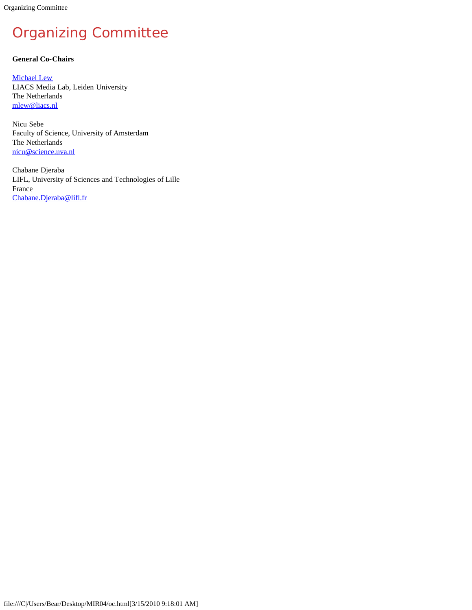<span id="page-9-0"></span>Organizing Committee

# Organizing Committee

## **General Co-Chairs**

[Michael Lew](javascript:if(confirm() LIACS Media Lab, Leiden University The Netherlands [mlew@liacs.nl](mailto:mlew@liacs.nl)

Nicu Sebe Faculty of Science, University of Amsterdam The Netherlands [nicu@science.uva.nl](mailto:nicu@science.uva.nl)

Chabane Djeraba LIFL, University of Sciences and Technologies of Lille France [Chabane.Djeraba@lifl.fr](mailto:Chabane.Djeraba@lifl.fr)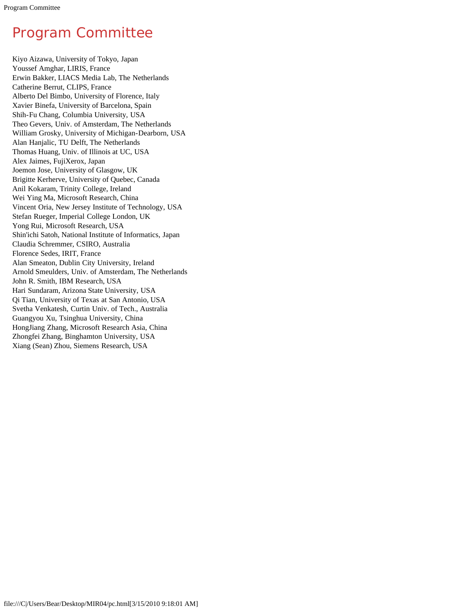# <span id="page-10-0"></span>Program Committee

Kiyo Aizawa, University of Tokyo, Japan Youssef Amghar, LIRIS, France Erwin Bakker, LIACS Media Lab, The Netherlands Catherine Berrut, CLIPS, France Alberto Del Bimbo, University of Florence, Italy Xavier Binefa, University of Barcelona, Spain Shih-Fu Chang, Columbia University, USA Theo Gevers, Univ. of Amsterdam, The Netherlands William Grosky, University of Michigan-Dearborn, USA Alan Hanjalic, TU Delft, The Netherlands Thomas Huang, Univ. of Illinois at UC, USA Alex Jaimes, FujiXerox, Japan Joemon Jose, University of Glasgow, UK Brigitte Kerherve, University of Quebec, Canada Anil Kokaram, Trinity College, Ireland Wei Ying Ma, Microsoft Research, China Vincent Oria, New Jersey Institute of Technology, USA Stefan Rueger, Imperial College London, UK Yong Rui, Microsoft Research, USA Shin'ichi Satoh, National Institute of Informatics, Japan Claudia Schremmer, CSIRO, Australia Florence Sedes, IRIT, France Alan Smeaton, Dublin City University, Ireland Arnold Smeulders, Univ. of Amsterdam, The Netherlands John R. Smith, IBM Research, USA Hari Sundaram, Arizona State University, USA Qi Tian, University of Texas at San Antonio, USA Svetha Venkatesh, Curtin Univ. of Tech., Australia Guangyou Xu, Tsinghua University, China HongJiang Zhang, Microsoft Research Asia, China Zhongfei Zhang, Binghamton University, USA Xiang (Sean) Zhou, Siemens Research, USA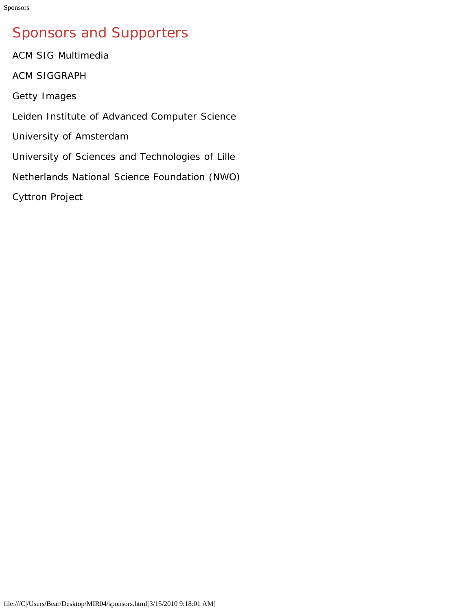# <span id="page-11-0"></span>Sponsors and Supporters

ACM SIG Multimedia ACM SIGGRAPH Getty Images Leiden Institute of Advanced Computer Science University of Amsterdam University of Sciences and Technologies of Lille Netherlands National Science Foundation (NWO) Cyttron Project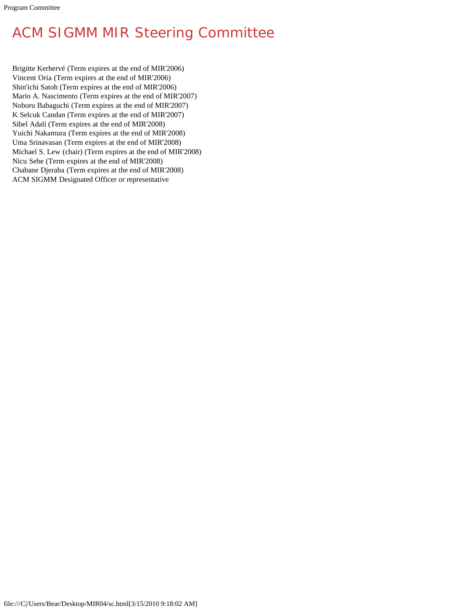# <span id="page-12-0"></span>ACM SIGMM MIR Steering Committee

Brigitte Kerhervé (Term expires at the end of MIR'2006) Vincent Oria (Term expires at the end of MIR'2006) Shin'ichi Satoh (Term expires at the end of MIR'2006) Mario A. Nascimento (Term expires at the end of MIR'2007) Noboru Babaguchi (Term expires at the end of MIR'2007) K Selcuk Candan (Term expires at the end of MIR'2007) Sibel Adali (Term expires at the end of MIR'2008) Yuichi Nakamura (Term expires at the end of MIR'2008) Uma Srinavasan (Term expires at the end of MIR'2008) Michael S. Lew (chair) (Term expires at the end of MIR'2008) Nicu Sebe (Term expires at the end of MIR'2008) Chabane Djeraba (Term expires at the end of MIR'2008) ACM SIGMM Designated Officer or representative